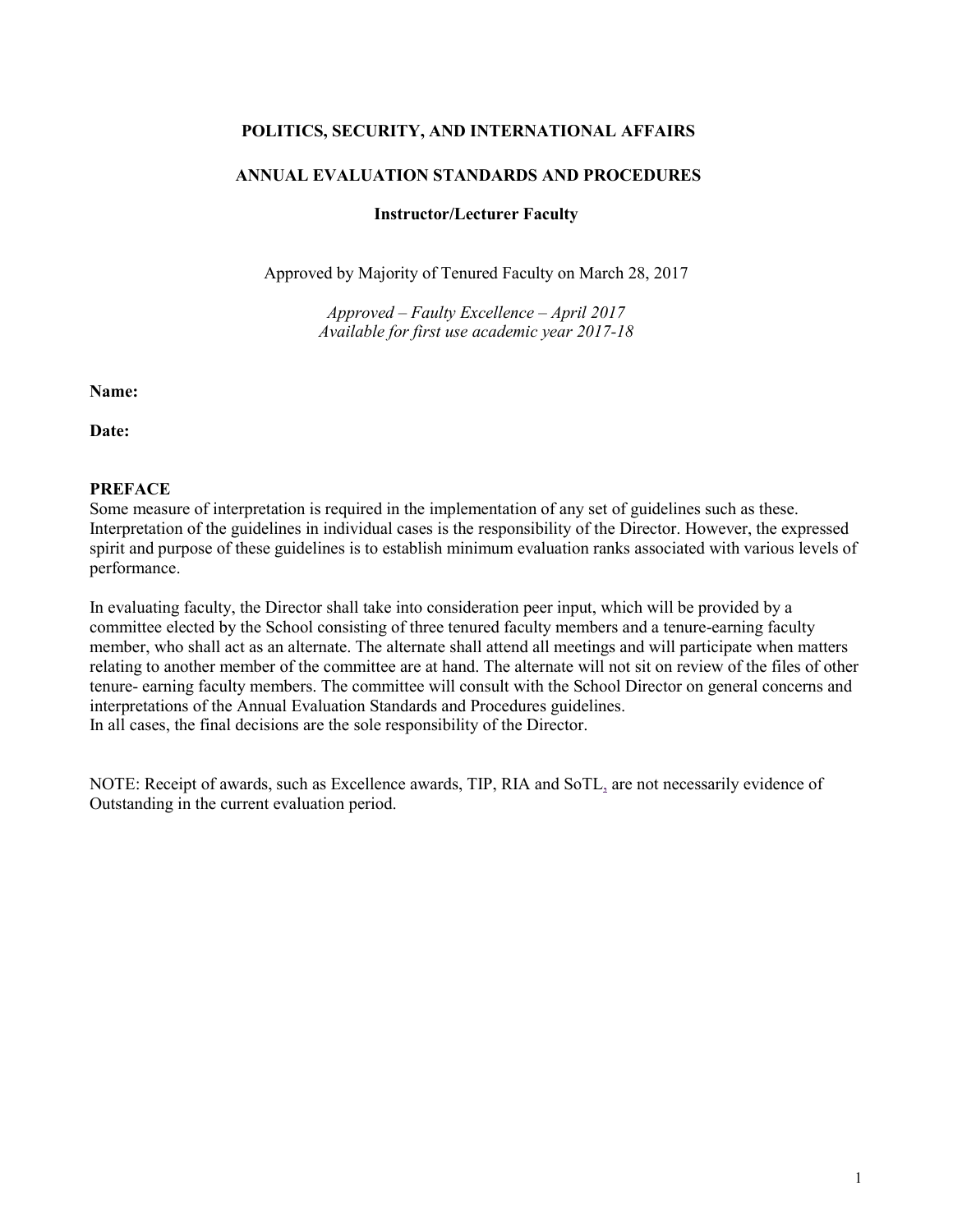## **POLITICS, SECURITY, AND INTERNATIONAL AFFAIRS**

## **ANNUAL EVALUATION STANDARDS AND PROCEDURES**

### **Instructor/Lecturer Faculty**

Approved by Majority of Tenured Faculty on March 28, 2017

*Approved – Faulty Excellence – April 2017 Available for first use academic year 2017-18*

**Name:**

**Date:**

#### **PREFACE**

Some measure of interpretation is required in the implementation of any set of guidelines such as these. Interpretation of the guidelines in individual cases is the responsibility of the Director. However, the expressed spirit and purpose of these guidelines is to establish minimum evaluation ranks associated with various levels of performance.

In evaluating faculty, the Director shall take into consideration peer input, which will be provided by a committee elected by the School consisting of three tenured faculty members and a tenure-earning faculty member, who shall act as an alternate. The alternate shall attend all meetings and will participate when matters relating to another member of the committee are at hand. The alternate will not sit on review of the files of other tenure- earning faculty members. The committee will consult with the School Director on general concerns and interpretations of the Annual Evaluation Standards and Procedures guidelines. In all cases, the final decisions are the sole responsibility of the Director.

NOTE: Receipt of awards, such as Excellence awards, TIP, RIA and SoTL, are not necessarily evidence of Outstanding in the current evaluation period.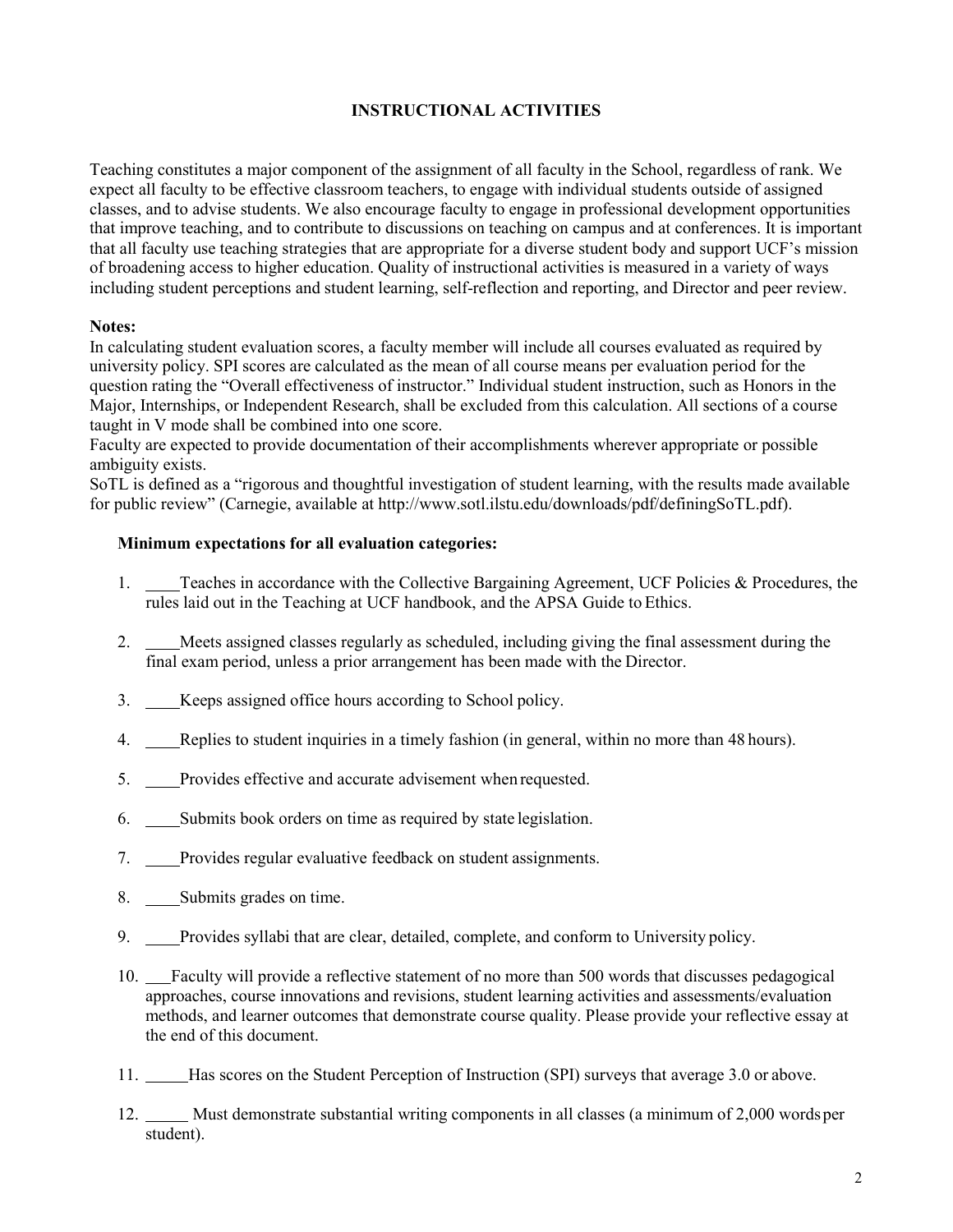# **INSTRUCTIONAL ACTIVITIES**

Teaching constitutes a major component of the assignment of all faculty in the School, regardless of rank. We expect all faculty to be effective classroom teachers, to engage with individual students outside of assigned classes, and to advise students. We also encourage faculty to engage in professional development opportunities that improve teaching, and to contribute to discussions on teaching on campus and at conferences. It is important that all faculty use teaching strategies that are appropriate for a diverse student body and support UCF's mission of broadening access to higher education. Quality of instructional activities is measured in a variety of ways including student perceptions and student learning, self-reflection and reporting, and Director and peer review.

## **Notes:**

In calculating student evaluation scores, a faculty member will include all courses evaluated as required by university policy. SPI scores are calculated as the mean of all course means per evaluation period for the question rating the "Overall effectiveness of instructor." Individual student instruction, such as Honors in the Major, Internships, or Independent Research, shall be excluded from this calculation. All sections of a course taught in V mode shall be combined into one score.

Faculty are expected to provide documentation of their accomplishments wherever appropriate or possible ambiguity exists.

SoTL is defined as a "rigorous and thoughtful investigation of student learning, with the results made available for public review" (Carnegie, available at [http://www.sotl.ilstu.edu/downloads/pdf/definingSoTL.pdf\)](http://www.sotl.ilstu.edu/downloads/pdf/definingSoTL.pdf).

## **Minimum expectations for all evaluation categories:**

- 1. Teaches in accordance with the Collective Bargaining Agreement, UCF Policies & Procedures, the rules laid out in the Teaching at UCF handbook, and the APSA Guide to Ethics.
- 2. Meets assigned classes regularly as scheduled, including giving the final assessment during the final exam period, unless a prior arrangement has been made with the Director.
- 3. Keeps assigned office hours according to School policy.
- 4. Replies to student inquiries in a timely fashion (in general, within no more than 48 hours).
- 5. Provides effective and accurate advisement when requested.
- 6. Submits book orders on time as required by state legislation.
- 7. Provides regular evaluative feedback on student assignments.
- 8. Submits grades on time.
- 9. Provides syllabi that are clear, detailed, complete, and conform to University policy.
- 10. Faculty will provide a reflective statement of no more than 500 words that discusses pedagogical approaches, course innovations and revisions, student learning activities and assessments/evaluation methods, and learner outcomes that demonstrate course quality. Please provide your reflective essay at the end of this document.
- 11. Has scores on the Student Perception of Instruction (SPI) surveys that average 3.0 or above.
- 12. Must demonstrate substantial writing components in all classes (a minimum of 2,000 wordsper student).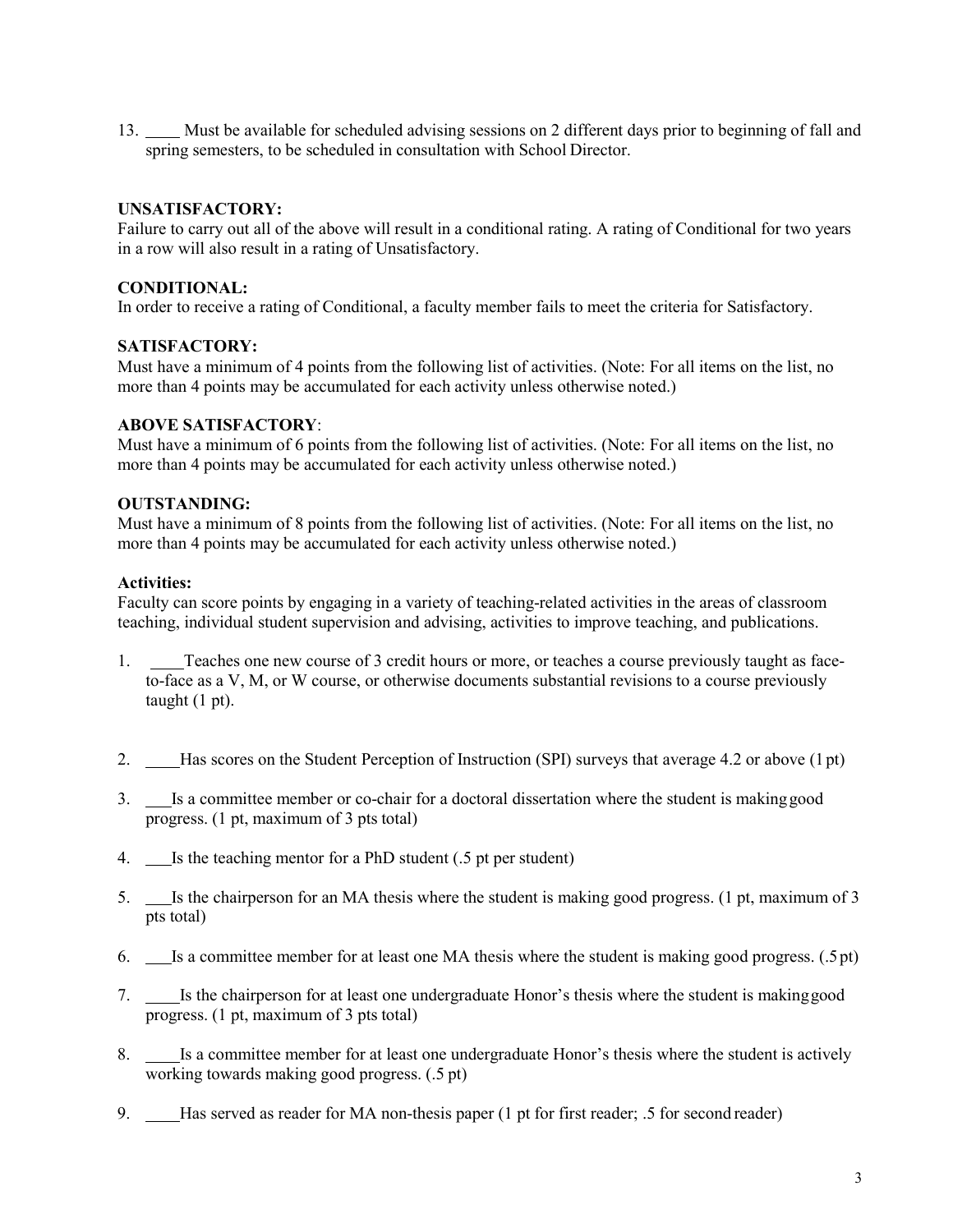13. Must be available for scheduled advising sessions on 2 different days prior to beginning of fall and spring semesters, to be scheduled in consultation with School Director.

## **UNSATISFACTORY:**

Failure to carry out all of the above will result in a conditional rating. A rating of Conditional for two years in a row will also result in a rating of Unsatisfactory.

## **CONDITIONAL:**

In order to receive a rating of Conditional, a faculty member fails to meet the criteria for Satisfactory.

### **SATISFACTORY:**

Must have a minimum of 4 points from the following list of activities. (Note: For all items on the list, no more than 4 points may be accumulated for each activity unless otherwise noted.)

## **ABOVE SATISFACTORY**:

Must have a minimum of 6 points from the following list of activities. (Note: For all items on the list, no more than 4 points may be accumulated for each activity unless otherwise noted.)

## **OUTSTANDING:**

Must have a minimum of 8 points from the following list of activities. (Note: For all items on the list, no more than 4 points may be accumulated for each activity unless otherwise noted.)

### **Activities:**

Faculty can score points by engaging in a variety of teaching-related activities in the areas of classroom teaching, individual student supervision and advising, activities to improve teaching, and publications.

- 1. Teaches one new course of 3 credit hours or more, or teaches a course previously taught as faceto-face as a V, M, or W course, or otherwise documents substantial revisions to a course previously taught (1 pt).
- 2. Has scores on the Student Perception of Instruction (SPI) surveys that average 4.2 or above (1 pt)
- 3. Is a committee member or co-chair for a doctoral dissertation where the student is makinggood progress. (1 pt, maximum of 3 pts total)
- 4. Is the teaching mentor for a PhD student (.5 pt per student)
- 5. Is the chairperson for an MA thesis where the student is making good progress. (1 pt, maximum of 3 pts total)
- 6. Is a committee member for at least one MA thesis where the student is making good progress. (.5pt)
- 7. Is the chairperson for at least one undergraduate Honor's thesis where the student is makinggood progress. (1 pt, maximum of 3 pts total)
- 8. Is a committee member for at least one undergraduate Honor's thesis where the student is actively working towards making good progress. (.5 pt)
- 9. Has served as reader for MA non-thesis paper (1 pt for first reader; .5 for second reader)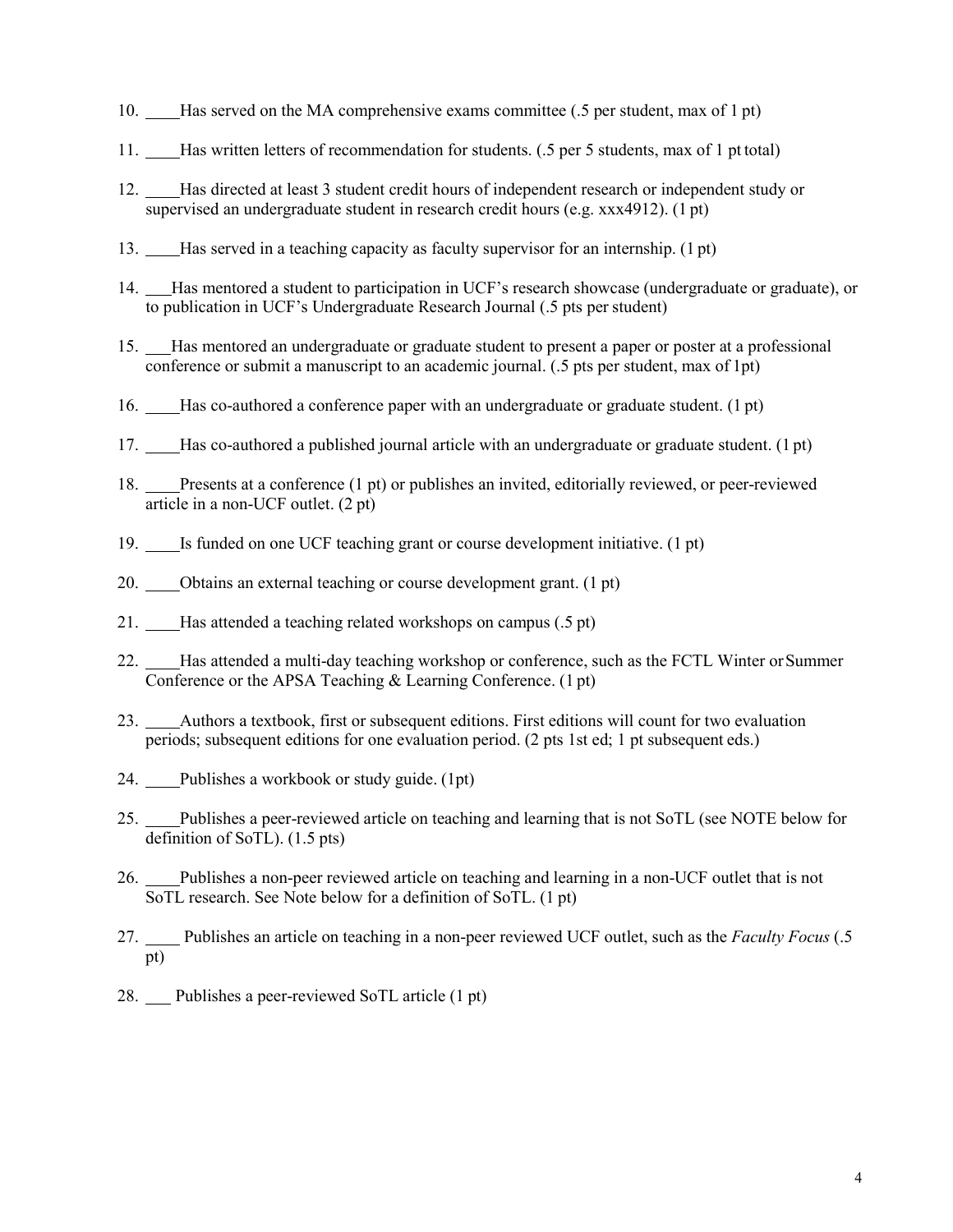- 10. Has served on the MA comprehensive exams committee (.5 per student, max of 1 pt)
- 11. Has written letters of recommendation for students. (.5 per 5 students, max of 1 pt total)
- 12. Has directed at least 3 student credit hours of independent research or independent study or supervised an undergraduate student in research credit hours (e.g. xxx4912). (1 pt)
- 13. Has served in a teaching capacity as faculty supervisor for an internship. (1 pt)
- 14. Has mentored a student to participation in UCF's research showcase (undergraduate or graduate), or to publication in UCF's Undergraduate Research Journal (.5 pts per student)
- 15. Has mentored an undergraduate or graduate student to present a paper or poster at a professional conference or submit a manuscript to an academic journal. (.5 pts per student, max of 1pt)
- 16. Has co-authored a conference paper with an undergraduate or graduate student. (1 pt)
- 17. Has co-authored a published journal article with an undergraduate or graduate student. (1 pt)
- 18. Presents at a conference (1 pt) or publishes an invited, editorially reviewed, or peer-reviewed article in a non-UCF outlet. (2 pt)
- 19. Is funded on one UCF teaching grant or course development initiative. (1 pt)
- 20. Obtains an external teaching or course development grant. (1 pt)
- 21. Has attended a teaching related workshops on campus (.5 pt)
- 22. Has attended a multi-day teaching workshop or conference, such as the FCTL Winter orSummer Conference or the APSA Teaching & Learning Conference. (1 pt)
- 23. Authors a textbook, first or subsequent editions. First editions will count for two evaluation periods; subsequent editions for one evaluation period. (2 pts 1st ed; 1 pt subsequent eds.)
- 24. Publishes a workbook or study guide. (1pt)
- 25. Publishes a peer-reviewed article on teaching and learning that is not SoTL (see NOTE below for definition of SoTL). (1.5 pts)
- 26. Publishes a non-peer reviewed article on teaching and learning in a non-UCF outlet that is not SoTL research. See Note below for a definition of SoTL. (1 pt)
- 27. Publishes an article on teaching in a non-peer reviewed UCF outlet, such as the *Faculty Focus* (.5 pt)
- 28. Publishes a peer-reviewed SoTL article (1 pt)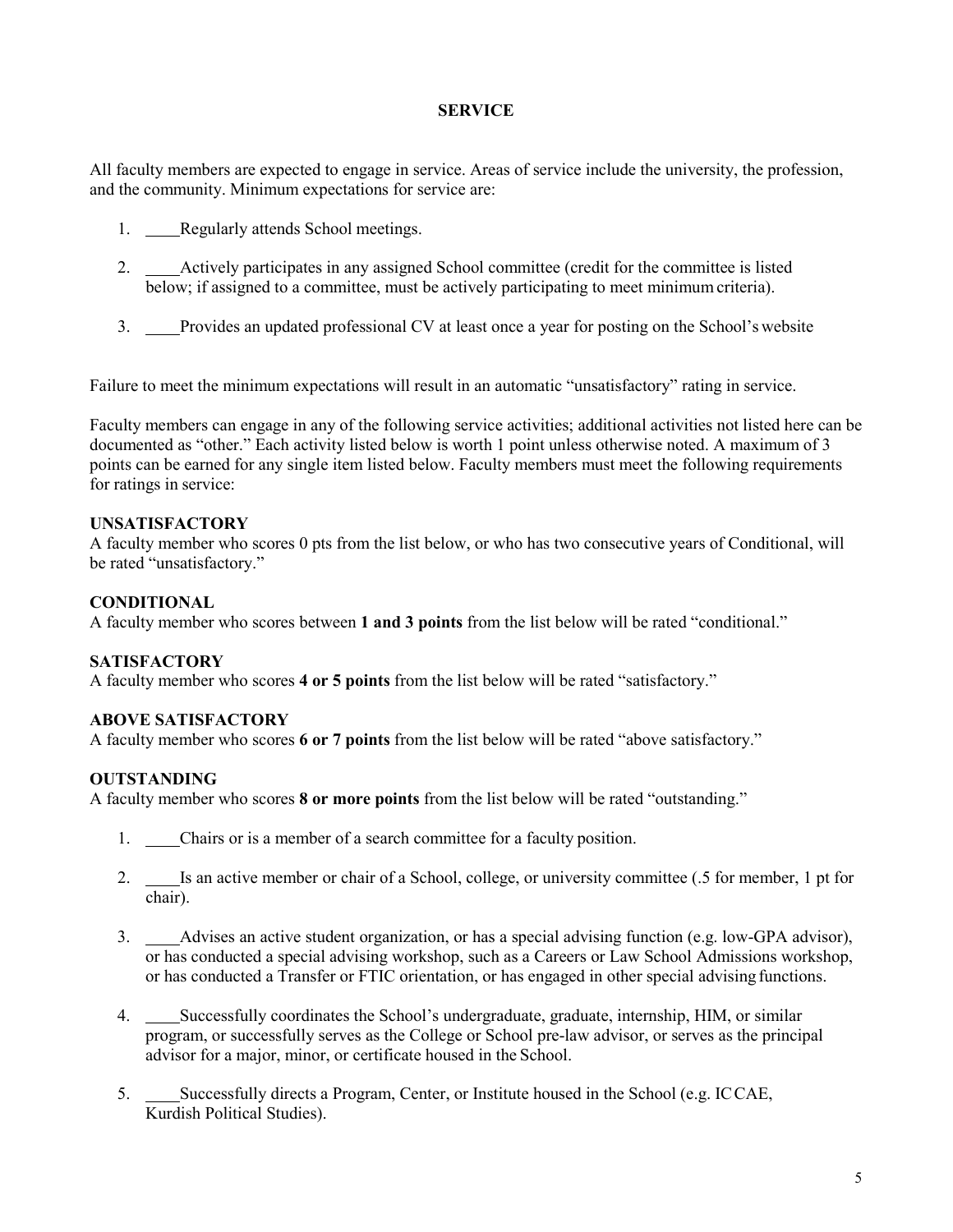# **SERVICE**

All faculty members are expected to engage in service. Areas of service include the university, the profession, and the community. Minimum expectations for service are:

- 1. Regularly attends School meetings.
- 2. Actively participates in any assigned School committee (credit for the committee is listed below; if assigned to a committee, must be actively participating to meet minimum criteria).
- 3. Provides an updated professional CV at least once a year for posting on the School'swebsite

Failure to meet the minimum expectations will result in an automatic "unsatisfactory" rating in service.

Faculty members can engage in any of the following service activities; additional activities not listed here can be documented as "other." Each activity listed below is worth 1 point unless otherwise noted. A maximum of 3 points can be earned for any single item listed below. Faculty members must meet the following requirements for ratings in service:

## **UNSATISFACTORY**

A faculty member who scores 0 pts from the list below, or who has two consecutive years of Conditional, will be rated "unsatisfactory."

## **CONDITIONAL**

A faculty member who scores between **1 and 3 points** from the list below will be rated "conditional."

## **SATISFACTORY**

A faculty member who scores **4 or 5 points** from the list below will be rated "satisfactory."

## **ABOVE SATISFACTORY**

A faculty member who scores **6 or 7 points** from the list below will be rated "above satisfactory."

## **OUTSTANDING**

A faculty member who scores **8 or more points** from the list below will be rated "outstanding."

- 1. Chairs or is a member of a search committee for a faculty position.
- 2. \_\_\_\_Is an active member or chair of a School, college, or university committee (.5 for member, 1 pt for chair).
- 3. Advises an active student organization, or has a special advising function (e.g. low-GPA advisor), or has conducted a special advising workshop, such as a Careers or Law School Admissions workshop, or has conducted a Transfer or FTIC orientation, or has engaged in other special advising functions.
- 4. Successfully coordinates the School's undergraduate, graduate, internship, HIM, or similar program, or successfully serves as the College or School pre-law advisor, or serves as the principal advisor for a major, minor, or certificate housed in the School.
- 5. Successfully directs a Program, Center, or Institute housed in the School (e.g. ICCAE, Kurdish Political Studies).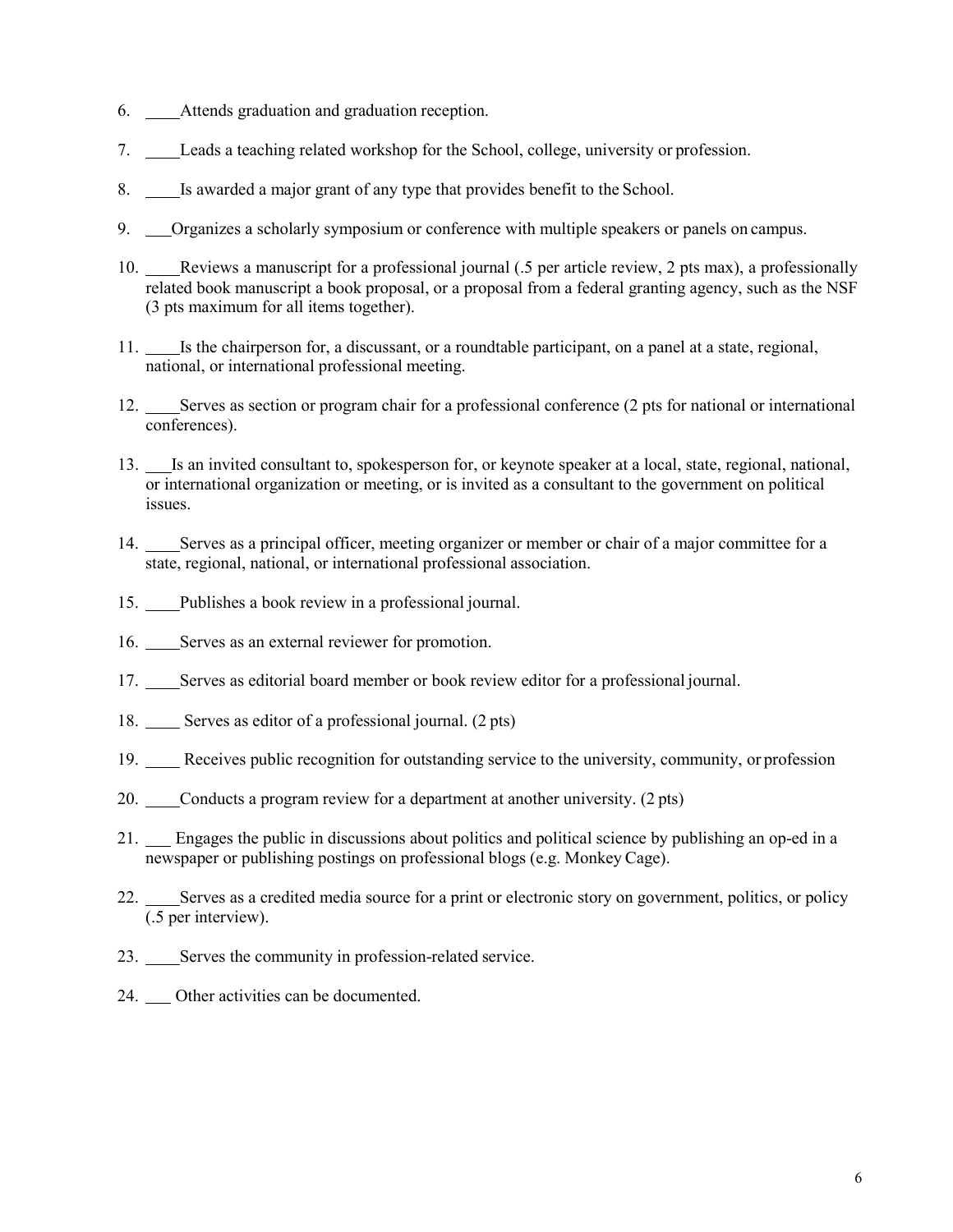- 6. Attends graduation and graduation reception.
- 7. Leads a teaching related workshop for the School, college, university or profession.
- 8. Is awarded a major grant of any type that provides benefit to the School.
- 9. Corganizes a scholarly symposium or conference with multiple speakers or panels on campus.
- 10. Reviews a manuscript for a professional journal (.5 per article review, 2 pts max), a professionally related book manuscript a book proposal, or a proposal from a federal granting agency, such as the NSF (3 pts maximum for all items together).
- 11. Is the chairperson for, a discussant, or a roundtable participant, on a panel at a state, regional, national, or international professional meeting.
- 12. Serves as section or program chair for a professional conference (2 pts for national or international conferences).
- 13. Is an invited consultant to, spokesperson for, or keynote speaker at a local, state, regional, national, or international organization or meeting, or is invited as a consultant to the government on political issues.
- 14. Serves as a principal officer, meeting organizer or member or chair of a major committee for a state, regional, national, or international professional association.
- 15. Publishes a book review in a professional journal.
- 16. Serves as an external reviewer for promotion.
- 17. Serves as editorial board member or book review editor for a professional journal.
- 18. Serves as editor of a professional journal. (2 pts)
- 19. Receives public recognition for outstanding service to the university, community, or profession
- 20. Conducts a program review for a department at another university. (2 pts)
- 21. Engages the public in discussions about politics and political science by publishing an op-ed in a newspaper or publishing postings on professional blogs (e.g. Monkey Cage).
- 22. Serves as a credited media source for a print or electronic story on government, politics, or policy (.5 per interview).
- 23. Serves the community in profession-related service.
- 24. Other activities can be documented.